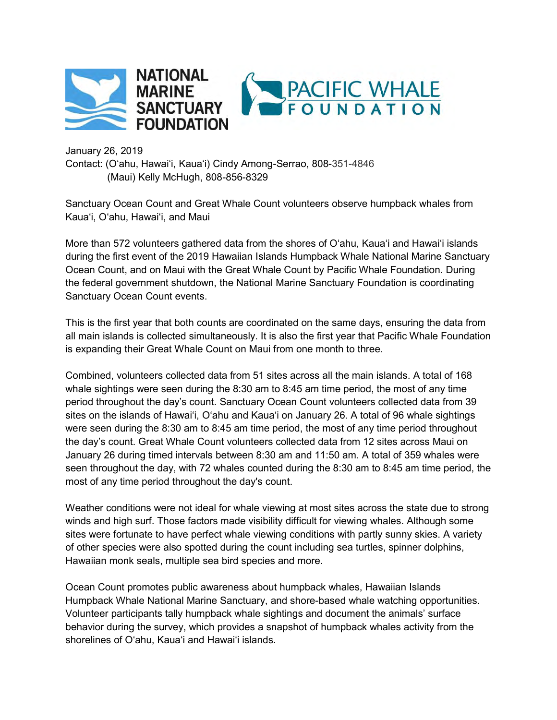

January 26, 2019 Contact: (O'ahu, Hawai'i, Kaua'i) Cindy Among-Serrao, 808-351-4846 (Maui) Kelly McHugh, 808-856-8329

Sanctuary Ocean Count and Great Whale Count volunteers observe humpback whales from Kaua'i, O'ahu, Hawai'i, and Maui

More than 572 volunteers gathered data from the shores of O'ahu, Kaua'i and Hawai'i islands during the first event of the 2019 Hawaiian Islands Humpback Whale National Marine Sanctuary Ocean Count, and on Maui with the Great Whale Count by Pacific Whale Foundation. During the federal government shutdown, the National Marine Sanctuary Foundation is coordinating Sanctuary Ocean Count events.

This is the first year that both counts are coordinated on the same days, ensuring the data from all main islands is collected simultaneously. It is also the first year that Pacific Whale Foundation is expanding their Great Whale Count on Maui from one month to three.

Combined, volunteers collected data from 51 sites across all the main islands. A total of 168 whale sightings were seen during the 8:30 am to 8:45 am time period, the most of any time period throughout the day's count. Sanctuary Ocean Count volunteers collected data from 39 sites on the islands of Hawai'i, O'ahu and Kaua'i on January 26. A total of 96 whale sightings were seen during the 8:30 am to 8:45 am time period, the most of any time period throughout the day's count. Great Whale Count volunteers collected data from 12 sites across Maui on January 26 during timed intervals between 8:30 am and 11:50 am. A total of 359 whales were seen throughout the day, with 72 whales counted during the 8:30 am to 8:45 am time period, the most of any time period throughout the day's count.

Weather conditions were not ideal for whale viewing at most sites across the state due to strong winds and high surf. Those factors made visibility difficult for viewing whales. Although some sites were fortunate to have perfect whale viewing conditions with partly sunny skies. A variety of other species were also spotted during the count including sea turtles, spinner dolphins, Hawaiian monk seals, multiple sea bird species and more.

Ocean Count promotes public awareness about humpback whales, Hawaiian Islands Humpback Whale National Marine Sanctuary, and shore-based whale watching opportunities. Volunteer participants tally humpback whale sightings and document the animals' surface behavior during the survey, which provides a snapshot of humpback whales activity from the shorelines of O'ahu, Kaua'i and Hawai'i islands.